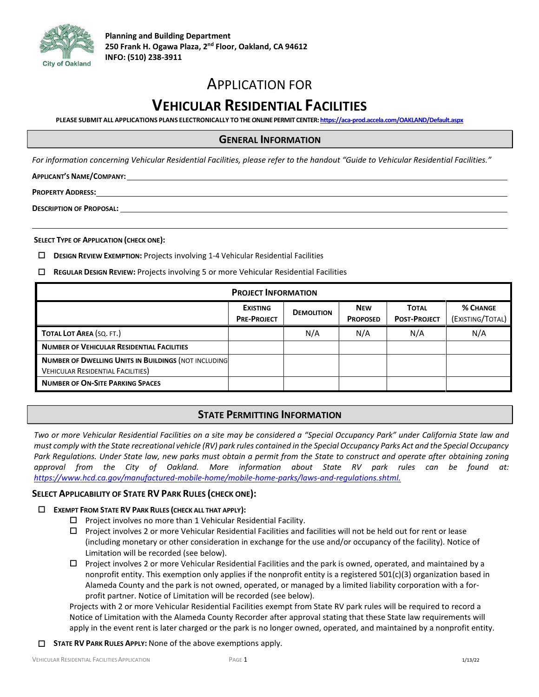

# APPLICATION FOR

# **VEHICULAR RESIDENTIAL FACILITIES**

**PLEASE SUBMIT ALL APPLICATIONS PLANS ELECTRONICALLY TO THE ONLINE PERMIT CENTER[: https://aca-prod.accela.com/OAKLAND/Default.aspx](https://aca-prod.accela.com/OAKLAND/Default.aspx)** 

### **GENERAL INFORMATION**

For information concerning Vehicular Residential Facilities, please refer to the handout "Guide to Vehicular Residential Facilities."

**APPLICANT'S NAME/COMPANY:**

**PROPERTY ADDRESS:**

**DESCRIPTION OF PROPOSAL:**

**SELECT TYPE OF APPLICATION (CHECK ONE):**

- **DESIGN REVIEW EXEMPTION:** Projects involving 1-4 Vehicular Residential Facilities
- **REGULAR DESIGN REVIEW:** Projects involving 5 or more Vehicular Residential Facilities

| <b>PROJECT INFORMATION</b>                                                                               |                                       |                   |                               |                                     |                                     |  |
|----------------------------------------------------------------------------------------------------------|---------------------------------------|-------------------|-------------------------------|-------------------------------------|-------------------------------------|--|
|                                                                                                          | <b>EXISTING</b><br><b>PRE-PROJECT</b> | <b>DEMOLITION</b> | <b>NEW</b><br><b>PROPOSED</b> | <b>TOTAL</b><br><b>POST-PROJECT</b> | <b>% CHANGE</b><br>(EXISTING/TOTAL) |  |
| TOTAL LOT AREA (SQ. FT.)                                                                                 |                                       | N/A               | N/A                           | N/A                                 | N/A                                 |  |
| <b>NUMBER OF VEHICULAR RESIDENTIAL FACILITIES</b>                                                        |                                       |                   |                               |                                     |                                     |  |
| <b>NUMBER OF DWELLING UNITS IN BUILDINGS (NOT INCLUDING)</b><br><b>VEHICULAR RESIDENTIAL FACILITIES)</b> |                                       |                   |                               |                                     |                                     |  |
| <b>NUMBER OF ON-SITE PARKING SPACES</b>                                                                  |                                       |                   |                               |                                     |                                     |  |

# **STATE PERMITTING INFORMATION**

*Two or more Vehicular Residential Facilities on a site may be considered a "Special Occupancy Park" under California State law and must comply with the State recreational vehicle (RV) park rules contained in the Special Occupancy Parks Act and the Special Occupancy*  Park Regulations. Under State law, new parks must obtain a permit from the State to construct and operate after obtaining zoning *approval from the City of Oakland. More information about State RV park rules can be found at: [https://www.hcd.ca.gov/manufactured-mobile-home/mobile-home-parks/laws-and-regulations.shtml.](https://www.hcd.ca.gov/manufactured-mobile-home/mobile-home-parks/laws-and-regulations.shtml)*

#### **SELECT APPLICABILITY OF STATE RV PARK RULES (CHECK ONE):**

#### **EXEMPT FROM STATE RV PARK RULES (CHECK ALL THAT APPLY):**

- $\square$  Project involves no more than 1 Vehicular Residential Facility.
- $\Box$  Project involves 2 or more Vehicular Residential Facilities and facilities will not be held out for rent or lease (including monetary or other consideration in exchange for the use and/or occupancy of the facility). Notice of Limitation will be recorded (see below).
- $\Box$  Project involves 2 or more Vehicular Residential Facilities and the park is owned, operated, and maintained by a nonprofit entity. This exemption only applies if the nonprofit entity is a registered 501(c)(3) organization based in Alameda County and the park is not owned, operated, or managed by a limited liability corporation with a forprofit partner. Notice of Limitation will be recorded (see below).

Projects with 2 or more Vehicular Residential Facilities exempt from State RV park rules will be required to record a Notice of Limitation with the Alameda County Recorder after approval stating that these State law requirements will apply in the event rent is later charged or the park is no longer owned, operated, and maintained by a nonprofit entity.

**STATE RV PARK RULES APPLY:** None of the above exemptions apply.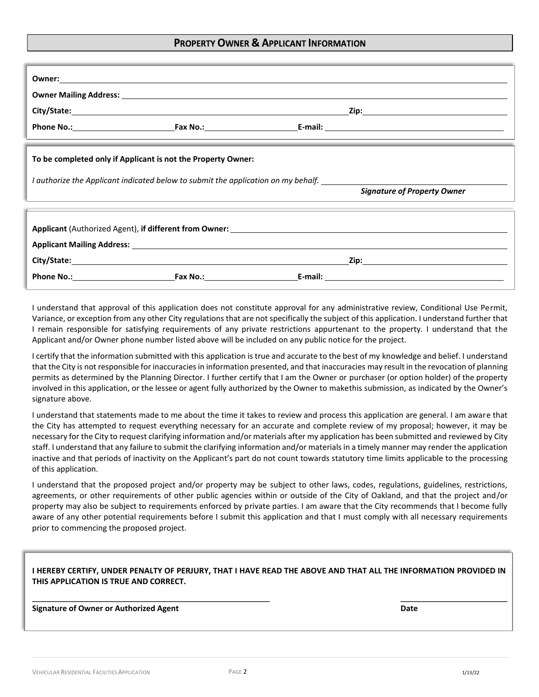#### **PROPERTY OWNER & APPLICANT INFORMATION**

|                                                                                                                                                                                                                                                                      | Owner: New York Changes and Changes and Changes and Changes and Changes and Changes and Changes and Changes and Changes and Changes and Changes and Changes and Changes and Changes and Changes and Changes and Changes and Ch |                                                                                                                                                                                                                               |                                    |  |  |
|----------------------------------------------------------------------------------------------------------------------------------------------------------------------------------------------------------------------------------------------------------------------|--------------------------------------------------------------------------------------------------------------------------------------------------------------------------------------------------------------------------------|-------------------------------------------------------------------------------------------------------------------------------------------------------------------------------------------------------------------------------|------------------------------------|--|--|
|                                                                                                                                                                                                                                                                      |                                                                                                                                                                                                                                |                                                                                                                                                                                                                               |                                    |  |  |
|                                                                                                                                                                                                                                                                      |                                                                                                                                                                                                                                |                                                                                                                                                                                                                               |                                    |  |  |
|                                                                                                                                                                                                                                                                      |                                                                                                                                                                                                                                |                                                                                                                                                                                                                               |                                    |  |  |
| the contract of the contract of the contract of the contract of the contract of the contract of the contract of<br>To be completed only if Applicant is not the Property Owner:<br>I authorize the Applicant indicated below to submit the application on my behalf. |                                                                                                                                                                                                                                |                                                                                                                                                                                                                               |                                    |  |  |
|                                                                                                                                                                                                                                                                      | ,我们也不能会在这里,我们也不能会在这里,我们也不能会在这里,我们也不能会在这里,我们也不能会在这里,我们也不能会在这里,我们也不能会不能会不能会。""我们,我                                                                                                                                               |                                                                                                                                                                                                                               | <b>Signature of Property Owner</b> |  |  |
|                                                                                                                                                                                                                                                                      |                                                                                                                                                                                                                                | ,我们也不会有什么。""我们的人,我们也不会有什么?""我们的人,我们也不会有什么?""我们的人,我们也不会有什么?""我们的人,我们也不会有什么?""我们的人                                                                                                                                              |                                    |  |  |
|                                                                                                                                                                                                                                                                      |                                                                                                                                                                                                                                |                                                                                                                                                                                                                               |                                    |  |  |
|                                                                                                                                                                                                                                                                      |                                                                                                                                                                                                                                | Applicant Mailing Address: Law March 2014 19:30 19:30 19:30 19:30 19:30 19:30 19:30 19:30 19:30 19:30 19:30 19:30 19:30 19:30 19:30 19:30 19:30 19:30 19:30 19:30 19:30 19:30 19:30 19:30 19:30 19:30 19:30 19:30 19:30 19:30 |                                    |  |  |
|                                                                                                                                                                                                                                                                      |                                                                                                                                                                                                                                |                                                                                                                                                                                                                               |                                    |  |  |
|                                                                                                                                                                                                                                                                      |                                                                                                                                                                                                                                |                                                                                                                                                                                                                               |                                    |  |  |

I understand that approval of this application does not constitute approval for any administrative review, Conditional Use Permit, Variance, or exception from any other City regulations that are not specifically the subject of this application. I understand further that I remain responsible for satisfying requirements of any private restrictions appurtenant to the property. I understand that the Applicant and/or Owner phone number listed above will be included on any public notice for the project.

I certify that the information submitted with this application is true and accurate to the best of my knowledge and belief. I understand that the City is not responsible for inaccuracies in information presented, and that inaccuracies may result in the revocation of planning permits as determined by the Planning Director. I further certify that I am the Owner or purchaser (or option holder) of the property involved in this application, or the lessee or agent fully authorized by the Owner to makethis submission, as indicated by the Owner's signature above.

I understand that statements made to me about the time it takes to review and process this application are general. I am aware that the City has attempted to request everything necessary for an accurate and complete review of my proposal; however, it may be necessary for the City to request clarifying information and/or materials after my application has been submitted and reviewed by City staff. I understand that any failure to submit the clarifying information and/or materials in a timely manner may render the application inactive and that periods of inactivity on the Applicant's part do not count towards statutory time limits applicable to the processing of this application.

I understand that the proposed project and/or property may be subject to other laws, codes, regulations, guidelines, restrictions, agreements, or other requirements of other public agencies within or outside of the City of Oakland, and that the project and/or property may also be subject to requirements enforced by private parties. I am aware that the City recommends that I become fully aware of any other potential requirements before I submit this application and that I must comply with all necessary requirements prior to commencing the proposed project.

#### I HEREBY CERTIFY, UNDER PENALTY OF PERJURY, THAT I HAVE READ THE ABOVE AND THAT ALL THE INFORMATION PROVIDED IN **THIS APPLICATION IS TRUE AND CORRECT.**

**Signature of Owner or Authorized Agent Date**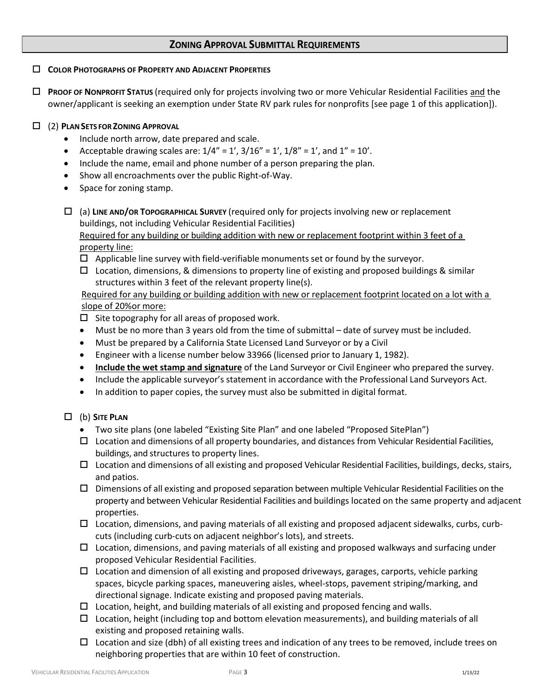## **ZONING APPROVAL SUBMITTAL REQUIREMENTS**

#### **COLOR PHOTOGRAPHS OF PROPERTY AND ADJACENT PROPERTIES**

 **PROOF OF NONPROFIT STATUS** (required only for projects involving two or more Vehicular Residential Facilities and the owner/applicant is seeking an exemption under State RV park rules for nonprofits [see page 1 of this application]).

## (2) **PLANSETS FOR ZONING APPROVAL**

- Include north arrow, date prepared and scale.
- Acceptable drawing scales are:  $1/4'' = 1'$ ,  $3/16'' = 1'$ ,  $1/8'' = 1'$ , and  $1'' = 10'$ .
- Include the name, email and phone number of a person preparing the plan.
- Show all encroachments over the public Right-of-Way.
- Space for zoning stamp.
- (a) **LINE AND/OR TOPOGRAPHICAL SURVEY** (required only for projects involving new or replacement buildings, not including Vehicular Residential Facilities) Required for any building or building addition with new or replacement footprint within 3 feet of a property line:
	- $\Box$  Applicable line survey with field-verifiable monuments set or found by the surveyor.
	- $\Box$  Location, dimensions, & dimensions to property line of existing and proposed buildings & similar structures within 3 feet of the relevant property line(s).

Required for any building or building addition with new or replacement footprint located on a lot with a slope of 20%or more:

 $\square$  Site topography for all areas of proposed work.

- Must be no more than 3 years old from the time of submittal date of survey must be included.
- Must be prepared by a California State Licensed Land Surveyor or by a Civil
- Engineer with a license number below 33966 (licensed prior to January 1, 1982).
- **Include the wet stamp and signature** of the Land Surveyor or Civil Engineer who prepared the survey.
- Include the applicable surveyor's statement in accordance with the Professional Land Surveyors Act.
- In addition to paper copies, the survey must also be submitted in digital format.

## (b) **SITE PLAN**

- Two site plans (one labeled "Existing Site Plan" and one labeled "Proposed SitePlan")
- $\Box$  Location and dimensions of all property boundaries, and distances from Vehicular Residential Facilities, buildings, and structures to property lines.
- $\Box$  Location and dimensions of all existing and proposed Vehicular Residential Facilities, buildings, decks, stairs, and patios.
- $\square$  Dimensions of all existing and proposed separation between multiple Vehicular Residential Facilities on the property and between Vehicular Residential Facilities and buildings located on the same property and adjacent properties.
- $\Box$  Location, dimensions, and paving materials of all existing and proposed adjacent sidewalks, curbs, curbcuts (including curb-cuts on adjacent neighbor's lots), and streets.
- $\Box$  Location, dimensions, and paving materials of all existing and proposed walkways and surfacing under proposed Vehicular Residential Facilities.
- $\Box$  Location and dimension of all existing and proposed driveways, garages, carports, vehicle parking spaces, bicycle parking spaces, maneuvering aisles, wheel-stops, pavement striping/marking, and directional signage. Indicate existing and proposed paving materials.
- $\Box$  Location, height, and building materials of all existing and proposed fencing and walls.
- $\Box$  Location, height (including top and bottom elevation measurements), and building materials of all existing and proposed retaining walls.
- $\Box$  Location and size (dbh) of all existing trees and indication of any trees to be removed, include trees on neighboring properties that are within 10 feet of construction.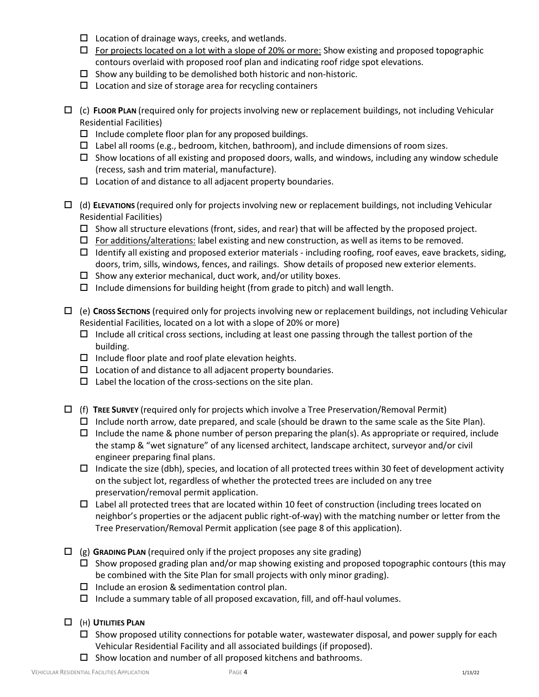- $\Box$  Location of drainage ways, creeks, and wetlands.
- $\Box$  For projects located on a lot with a slope of 20% or more: Show existing and proposed topographic contours overlaid with proposed roof plan and indicating roof ridge spot elevations.
- $\Box$  Show any building to be demolished both historic and non-historic.
- $\Box$  Location and size of storage area for recycling containers
- (c) **FLOOR PLAN** (required only for projects involving new or replacement buildings, not including Vehicular Residential Facilities)
	- $\Box$  Include complete floor plan for any proposed buildings.
	- $\Box$  Label all rooms (e.g., bedroom, kitchen, bathroom), and include dimensions of room sizes.
	- $\Box$  Show locations of all existing and proposed doors, walls, and windows, including any window schedule (recess, sash and trim material, manufacture).
	- $\square$  Location of and distance to all adjacent property boundaries.
- (d) **ELEVATIONS** (required only for projects involving new or replacement buildings, not including Vehicular Residential Facilities)
	- $\square$  Show all structure elevations (front, sides, and rear) that will be affected by the proposed project.
	- $\Box$  For additions/alterations: label existing and new construction, as well as items to be removed.
	- $\Box$  Identify all existing and proposed exterior materials including roofing, roof eaves, eave brackets, siding, doors, trim, sills, windows, fences, and railings. Show details of proposed new exterior elements.
	- $\square$  Show any exterior mechanical, duct work, and/or utility boxes.
	- $\Box$  Include dimensions for building height (from grade to pitch) and wall length.
- (e) **CROSS SECTIONS** (required only for projects involving new or replacement buildings, not including Vehicular Residential Facilities, located on a lot with a slope of 20% or more)
	- $\Box$  Include all critical cross sections, including at least one passing through the tallest portion of the building.
	- $\square$  Include floor plate and roof plate elevation heights.
	- $\Box$  Location of and distance to all adjacent property boundaries.
	- $\square$  Label the location of the cross-sections on the site plan.
- (f) **TREE SURVEY** (required only for projects which involve a Tree Preservation/Removal Permit)
	- $\Box$  Include north arrow, date prepared, and scale (should be drawn to the same scale as the Site Plan).
	- $\Box$  Include the name & phone number of person preparing the plan(s). As appropriate or required, include the stamp & "wet signature" of any licensed architect, landscape architect, surveyor and/or civil engineer preparing final plans.
	- $\Box$  Indicate the size (dbh), species, and location of all protected trees within 30 feet of development activity on the subject lot, regardless of whether the protected trees are included on any tree preservation/removal permit application.
	- $\Box$  Label all protected trees that are located within 10 feet of construction (including trees located on neighbor's properties or the adjacent public right-of-way) with the matching number or letter from the Tree Preservation/Removal Permit application (see page 8 of this application).
- (g) **GRADING PLAN** (required only if the project proposes any site grading)
	- $\Box$  Show proposed grading plan and/or map showing existing and proposed topographic contours (this may be combined with the Site Plan for small projects with only minor grading).
	- $\square$  Include an erosion & sedimentation control plan.
	- $\Box$  Include a summary table of all proposed excavation, fill, and off-haul volumes.
- (H) **UTILITIES PLAN**
	- $\Box$  Show proposed utility connections for potable water, wastewater disposal, and power supply for each Vehicular Residential Facility and all associated buildings (if proposed).
	- $\square$  Show location and number of all proposed kitchens and bathrooms.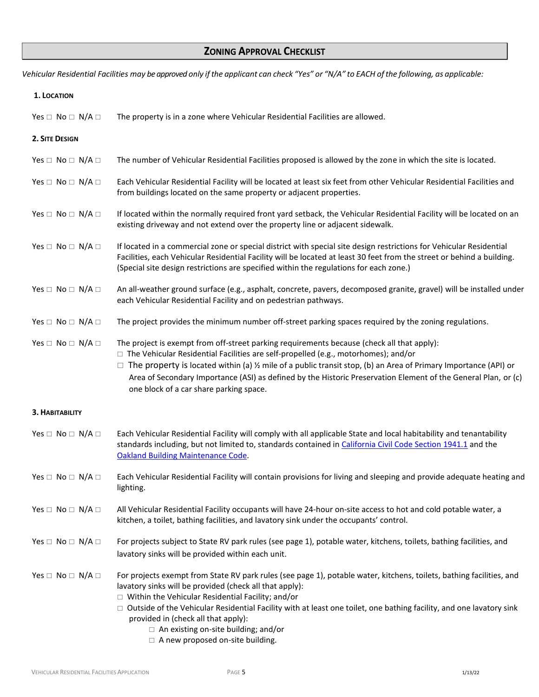Vehicular Residential Facilities may be approved only if the applicant can check "Yes" or "N/A" to EACH of the following, as applicable:

| 1. LOCATION                     |                                                                                                                                                                                                                                                                                                                                                                                                                                                                                                |
|---------------------------------|------------------------------------------------------------------------------------------------------------------------------------------------------------------------------------------------------------------------------------------------------------------------------------------------------------------------------------------------------------------------------------------------------------------------------------------------------------------------------------------------|
| Yes $\Box$ No $\Box$ N/A $\Box$ | The property is in a zone where Vehicular Residential Facilities are allowed.                                                                                                                                                                                                                                                                                                                                                                                                                  |
| 2. SITE DESIGN                  |                                                                                                                                                                                                                                                                                                                                                                                                                                                                                                |
| Yes $\Box$ No $\Box$ N/A $\Box$ | The number of Vehicular Residential Facilities proposed is allowed by the zone in which the site is located.                                                                                                                                                                                                                                                                                                                                                                                   |
| Yes $\Box$ No $\Box$ N/A $\Box$ | Each Vehicular Residential Facility will be located at least six feet from other Vehicular Residential Facilities and<br>from buildings located on the same property or adjacent properties.                                                                                                                                                                                                                                                                                                   |
| Yes $\Box$ No $\Box$ N/A $\Box$ | If located within the normally required front yard setback, the Vehicular Residential Facility will be located on an<br>existing driveway and not extend over the property line or adjacent sidewalk.                                                                                                                                                                                                                                                                                          |
| Yes $\Box$ No $\Box$ N/A $\Box$ | If located in a commercial zone or special district with special site design restrictions for Vehicular Residential<br>Facilities, each Vehicular Residential Facility will be located at least 30 feet from the street or behind a building.<br>(Special site design restrictions are specified within the regulations for each zone.)                                                                                                                                                        |
| Yes $\Box$ No $\Box$ N/A $\Box$ | An all-weather ground surface (e.g., asphalt, concrete, pavers, decomposed granite, gravel) will be installed under<br>each Vehicular Residential Facility and on pedestrian pathways.                                                                                                                                                                                                                                                                                                         |
| Yes $\Box$ No $\Box$ N/A $\Box$ | The project provides the minimum number off-street parking spaces required by the zoning regulations.                                                                                                                                                                                                                                                                                                                                                                                          |
| Yes $\Box$ No $\Box$ N/A $\Box$ | The project is exempt from off-street parking requirements because (check all that apply):<br>$\Box$ The Vehicular Residential Facilities are self-propelled (e.g., motorhomes); and/or<br>$\Box$ The property is located within (a) ½ mile of a public transit stop, (b) an Area of Primary Importance (API) or<br>Area of Secondary Importance (ASI) as defined by the Historic Preservation Element of the General Plan, or (c)<br>one block of a car share parking space.                  |
| 3. HABITABILITY                 |                                                                                                                                                                                                                                                                                                                                                                                                                                                                                                |
| Yes $\Box$ No $\Box$ N/A $\Box$ | Each Vehicular Residential Facility will comply with all applicable State and local habitability and tenantability<br>standards including, but not limited to, standards contained in California Civil Code Section 1941.1 and the<br><b>Oakland Building Maintenance Code.</b>                                                                                                                                                                                                                |
| Yes $\Box$ No $\Box$ N/A $\Box$ | Each Vehicular Residential Facility will contain provisions for living and sleeping and provide adequate heating and<br>lighting.                                                                                                                                                                                                                                                                                                                                                              |
| Yes $\Box$ No $\Box$ N/A $\Box$ | All Vehicular Residential Facility occupants will have 24-hour on-site access to hot and cold potable water, a<br>kitchen, a toilet, bathing facilities, and lavatory sink under the occupants' control.                                                                                                                                                                                                                                                                                       |
| Yes $\Box$ No $\Box$ N/A $\Box$ | For projects subject to State RV park rules (see page 1), potable water, kitchens, toilets, bathing facilities, and<br>lavatory sinks will be provided within each unit.                                                                                                                                                                                                                                                                                                                       |
| Yes $\Box$ No $\Box$ N/A $\Box$ | For projects exempt from State RV park rules (see page 1), potable water, kitchens, toilets, bathing facilities, and<br>lavatory sinks will be provided (check all that apply):<br>$\Box$ Within the Vehicular Residential Facility; and/or<br>□ Outside of the Vehicular Residential Facility with at least one toilet, one bathing facility, and one lavatory sink<br>provided in (check all that apply):<br>$\Box$ An existing on-site building; and/or<br>A nous proposod on atta building |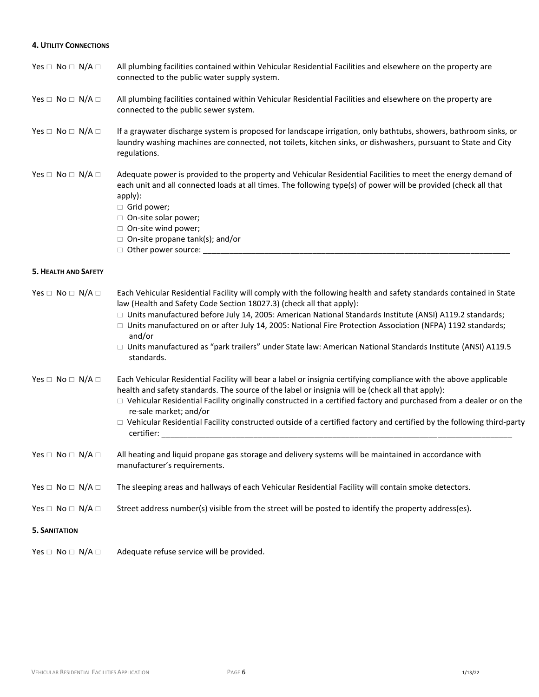#### **4. UTILITY CONNECTIONS**

| Yes $\Box$ No $\Box$ N/A $\Box$ | All plumbing facilities contained within Vehicular Residential Facilities and elsewhere on the property are |
|---------------------------------|-------------------------------------------------------------------------------------------------------------|
|                                 | connected to the public water supply system.                                                                |

#### Yes  $\Box$  No  $\Box$  N/A  $\Box$  All plumbing facilities contained within Vehicular Residential Facilities and elsewhere on the property are connected to the public sewer system.

#### Yes  $\Box$  No  $\Box$  N/A  $\Box$  If a graywater discharge system is proposed for landscape irrigation, only bathtubs, showers, bathroom sinks, or laundry washing machines are connected, not toilets, kitchen sinks, or dishwashers, pursuant to State and City regulations.

#### Yes  $\Box$  No  $\Box$  N/A  $\Box$  Adequate power is provided to the property and Vehicular Residential Facilities to meet the energy demand of each unit and all connected loads at all times. The following type(s) of power will be provided (check all that apply):

- Grid power;
- □ On-site solar power;
- □ On-site wind power;
- $\Box$  On-site propane tank(s); and/or
- $\Box$  Other power source:  $\Box$

#### **5. HEALTH AND SAFETY**

| Yes $\square$ No $\square$ N/A $\square$ | Each Vehicular Residential Facility will comply with the following health and safety standards contained in State<br>law (Health and Safety Code Section 18027.3) (check all that apply):                                                                                                                                                                     |  |  |  |  |
|------------------------------------------|---------------------------------------------------------------------------------------------------------------------------------------------------------------------------------------------------------------------------------------------------------------------------------------------------------------------------------------------------------------|--|--|--|--|
|                                          | $\Box$ Units manufactured before July 14, 2005: American National Standards Institute (ANSI) A119.2 standards;<br>$\Box$ Units manufactured on or after July 14, 2005: National Fire Protection Association (NFPA) 1192 standards;<br>and/or                                                                                                                  |  |  |  |  |
|                                          | □ Units manufactured as "park trailers" under State law: American National Standards Institute (ANSI) A119.5<br>standards.                                                                                                                                                                                                                                    |  |  |  |  |
| Yes $\square$ No $\square$ N/A $\square$ | Each Vehicular Residential Facility will bear a label or insignia certifying compliance with the above applicable<br>health and safety standards. The source of the label or insignia will be (check all that apply):                                                                                                                                         |  |  |  |  |
|                                          | $\Box$ Vehicular Residential Facility originally constructed in a certified factory and purchased from a dealer or on the<br>re-sale market; and/or                                                                                                                                                                                                           |  |  |  |  |
|                                          | $\Box$ Vehicular Residential Facility constructed outside of a certified factory and certified by the following third-party<br>certifier: when the control of the control of the control of the control of the control of the control of the control of the control of the control of the control of the control of the control of the control of the control |  |  |  |  |
| Yes $\Box$ No $\Box$ N/A $\Box$          | All heating and liquid propane gas storage and delivery systems will be maintained in accordance with<br>manufacturer's requirements.                                                                                                                                                                                                                         |  |  |  |  |
| Yes $\Box$ No $\Box$ N/A $\Box$          | The sleeping areas and hallways of each Vehicular Residential Facility will contain smoke detectors.                                                                                                                                                                                                                                                          |  |  |  |  |
| Yes $\square$ No $\square$ N/A $\square$ | Street address number(s) visible from the street will be posted to identify the property address(es).                                                                                                                                                                                                                                                         |  |  |  |  |
| <b>5. SANITATION</b>                     |                                                                                                                                                                                                                                                                                                                                                               |  |  |  |  |
| Yes $\square$ No $\square$ N/A $\square$ | Adequate refuse service will be provided.                                                                                                                                                                                                                                                                                                                     |  |  |  |  |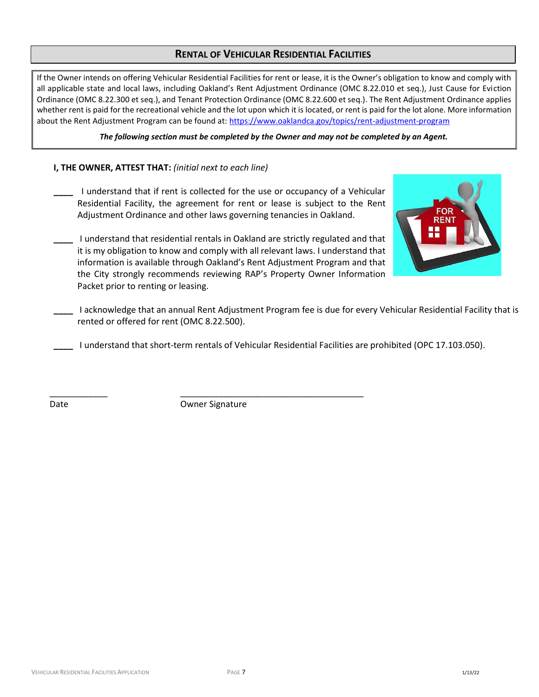# **RENTAL OF VEHICULAR RESIDENTIAL FACILITIES**

If the Owner intends on offering Vehicular Residential Facilities for rent or lease, it is the Owner's obligation to know and comply with all applicable state and local laws, including Oakland's Rent Adjustment Ordinance (OMC 8.22.010 et seq.), Just Cause for Eviction Ordinance (OMC 8.22.300 et seq.), and Tenant Protection Ordinance (OMC 8.22.600 et seq.). The Rent Adjustment Ordinance applies whether rent is paid for the recreational vehicle and the lot upon which it is located, or rent is paid for the lot alone. More information about the Rent Adjustment Program can be found at[: https://www.oaklandca.gov/topics/rent-adjustment-program](https://www.oaklandca.gov/topics/rent-adjustment-program)

*The following section must be completed by the Owner and may not be completed by an Agent.*

### **I, THE OWNER, ATTEST THAT:** *(initial next to each line)*

**\_\_\_\_** I understand that if rent is collected for the use or occupancy of a Vehicular Residential Facility, the agreement for rent or lease is subject to the Rent Adjustment Ordinance and other laws governing tenancies in Oakland.



- **\_\_\_\_** I understand that residential rentals in Oakland are strictly regulated and that it is my obligation to know and comply with all relevant laws. I understand that information is available through Oakland's Rent Adjustment Program and that the City strongly recommends reviewing RAP's Property Owner Information Packet prior to renting or leasing.
- **\_\_\_\_** I acknowledge that an annual Rent Adjustment Program fee is due for every Vehicular Residential Facility that is rented or offered for rent (OMC 8.22.500).

**\_\_\_\_** I understand that short-term rentals of Vehicular Residential Facilities are prohibited (OPC 17.103.050).

Date **Date** Owner Signature

\_\_\_\_\_\_\_\_\_\_\_\_ \_\_\_\_\_\_\_\_\_\_\_\_\_\_\_\_\_\_\_\_\_\_\_\_\_\_\_\_\_\_\_\_\_\_\_\_\_\_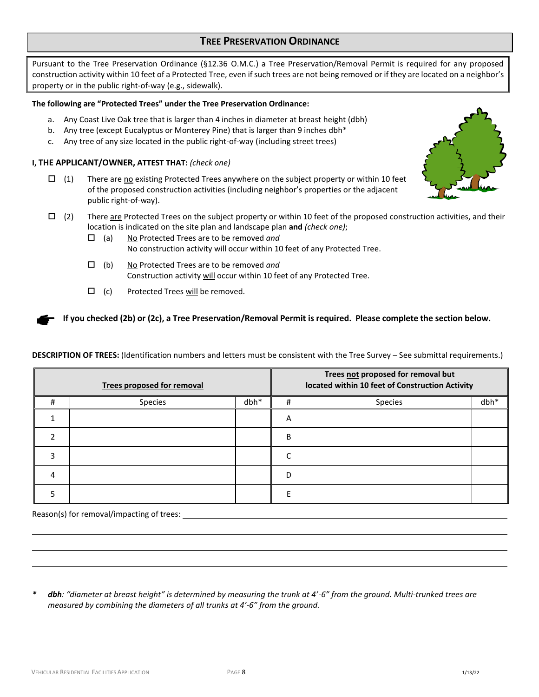## **TREE PRESERVATION ORDINANCE**

Pursuant to the Tree Preservation Ordinance (§12.36 O.M.C.) a Tree Preservation/Removal Permit is required for any proposed construction activity within 10 feet of a Protected Tree, even if such trees are not being removed or if they are located on a neighbor's property or in the public right-of-way (e.g., sidewalk).

#### **The following are "Protected Trees" under the Tree Preservation Ordinance:**

- a. Any Coast Live Oak tree that is larger than 4 inches in diameter at breast height (dbh)
- b. Any tree (except Eucalyptus or Monterey Pine) that is larger than 9 inches dbh\*
- c. Any tree of any size located in the public right-of-way (including street trees)

#### **I, THE APPLICANT/OWNER, ATTEST THAT:** *(check one)*

- $\Box$  (1) There are <u>no</u> existing Protected Trees anywhere on the subject property or within 10 feet of the proposed construction activities (including neighbor's properties or the adjacent public right-of-way).
- $\Box$  (2) There are Protected Trees on the subject property or within 10 feet of the proposed construction activities, and their location is indicated on the site plan and landscape plan **and** *(check one)*;
	- (a) No Protected Trees are to be removed *and* No construction activity will occur within 10 feet of any Protected Tree.
	- (b) No Protected Trees are to be removed *and* Construction activity will occur within 10 feet of any Protected Tree.
	- $\Box$  (c) Protected Trees will be removed.

If you checked (2b) or (2c), a Tree Preservation/Removal Permit is required. Please complete the section below.

**DESCRIPTION OF TREES:** (Identification numbers and letters must be consistent with the Tree Survey – See submittal requirements.)

| <b>Trees proposed for removal</b> |         |      | Trees not proposed for removal but<br>located within 10 feet of Construction Activity |                |      |
|-----------------------------------|---------|------|---------------------------------------------------------------------------------------|----------------|------|
| $\bf{H}$                          | Species | dbh* | #                                                                                     | <b>Species</b> | dbh* |
|                                   |         |      | Α                                                                                     |                |      |
|                                   |         |      | B                                                                                     |                |      |
|                                   |         |      | r                                                                                     |                |      |
|                                   |         |      | D                                                                                     |                |      |
|                                   |         |      |                                                                                       |                |      |

Reason(s) for removal/impacting of trees:

*\* dbh: "diameter at breast height" is determined by measuring the trunk at 4'-6" from the ground. Multi-trunked trees are measured by combining the diameters of all trunks at 4'-6" from the ground.*